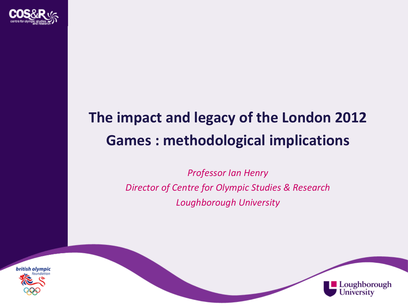

# **The impact and legacy of the London 2012 Games : methodological implications**

*Professor Ian Henry Director of Centre for Olympic Studies & Research Loughborough University*



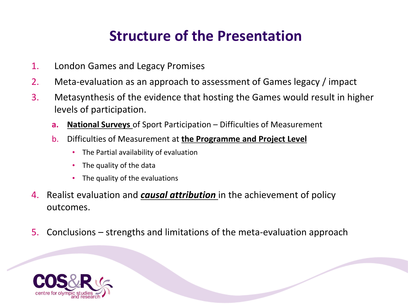### **Structure of the Presentation**

- 1. London Games and Legacy Promises
- 2. Meta-evaluation as an approach to assessment of Games legacy / impact
- 3. Metasynthesis of the evidence that hosting the Games would result in higher levels of participation.
	- **a. National Surveys** of Sport Participation Difficulties of Measurement
	- b. Difficulties of Measurement at **the Programme and Project Level** 
		- The Partial availability of evaluation
		- The quality of the data
		- The quality of the evaluations
- 4. Realist evaluation and *causal attribution* in the achievement of policy outcomes.
- 5. Conclusions strengths and limitations of the meta-evaluation approach

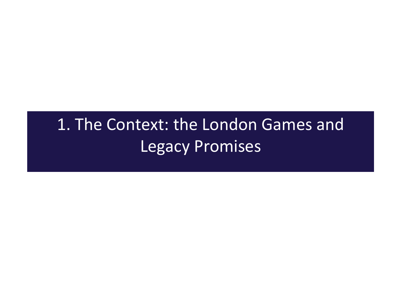# 1. The Context: the London Games and Legacy Promises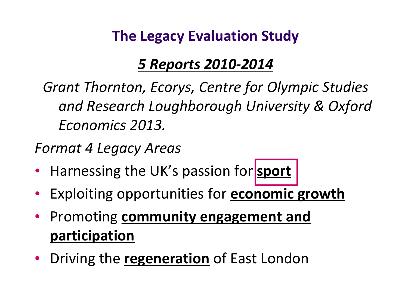### **The Legacy Evaluation Study**

### *5 Reports 2010-2014*

*Grant Thornton, Ecorys, Centre for Olympic Studies and Research Loughborough University & Oxford Economics 2013.*

*Format 4 Legacy Areas*

- Harnessing the UK's passion for **sport**
- Exploiting opportunities for **economic growth**
- Promoting **community engagement and participation**
- Driving the **regeneration** of East London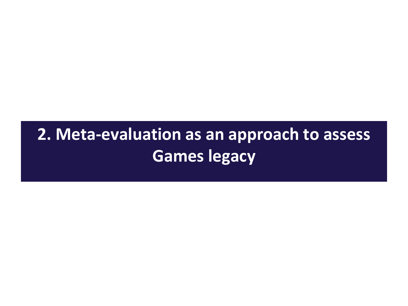# **2. Meta-evaluation as an approach to assess Games legacy**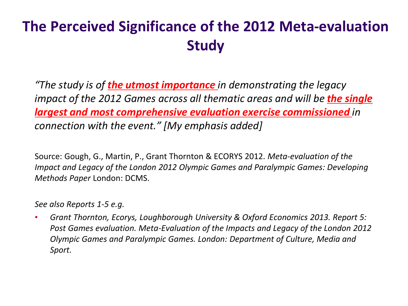## **The Perceived Significance of the 2012 Meta-evaluation Study**

*"The study is of the utmost importance in demonstrating the legacy impact of the 2012 Games across all thematic areas and will be the single largest and most comprehensive evaluation exercise commissioned in connection with the event." [My emphasis added]*

Source: Gough, G., Martin, P., Grant Thornton & ECORYS 2012. *Meta-evaluation of the Impact and Legacy of the London 2012 Olympic Games and Paralympic Games: Developing Methods Paper* London: DCMS.

*See also Reports 1-5 e.g.* 

• *Grant Thornton, Ecorys, Loughborough University & Oxford Economics 2013. Report 5: Post Games evaluation. Meta-Evaluation of the Impacts and Legacy of the London 2012 Olympic Games and Paralympic Games. London: Department of Culture, Media and Sport.*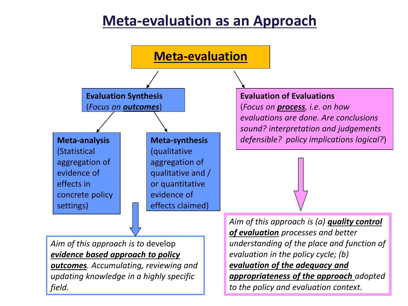### **Meta-evaluation as an Approach**

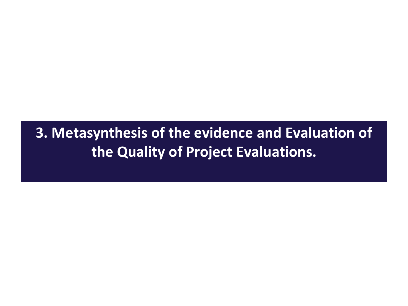**3. Metasynthesis of the evidence and Evaluation of the Quality of Project Evaluations.**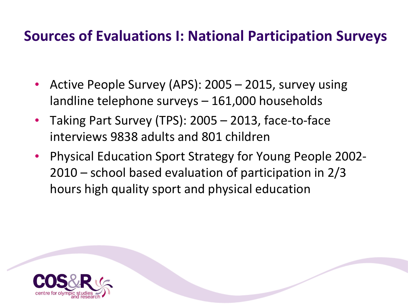### **Sources of Evaluations I: National Participation Surveys**

- Active People Survey (APS): 2005 2015, survey using landline telephone surveys – 161,000 households
- Taking Part Survey (TPS): 2005 2013, face-to-face interviews 9838 adults and 801 children
- Physical Education Sport Strategy for Young People 2002- 2010 – school based evaluation of participation in 2/3 hours high quality sport and physical education

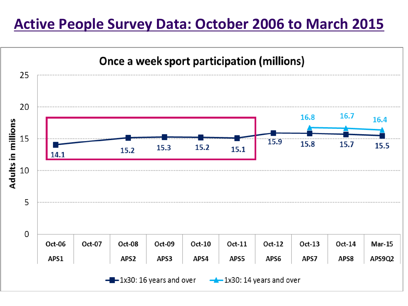### **Active People Survey Data: October 2006 to March 2015**

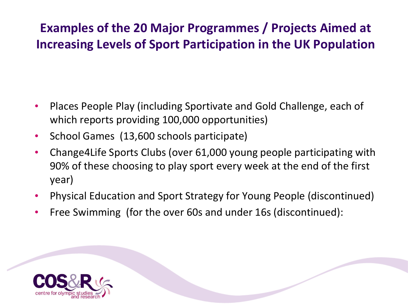### **Examples of the 20 Major Programmes / Projects Aimed at Increasing Levels of Sport Participation in the UK Population**

- Places People Play (including Sportivate and Gold Challenge, each of which reports providing 100,000 opportunities)
- School Games (13,600 schools participate)
- Change4Life Sports Clubs (over 61,000 young people participating with 90% of these choosing to play sport every week at the end of the first year)
- Physical Education and Sport Strategy for Young People (discontinued)
- Free Swimming (for the over 60s and under 16s (discontinued):

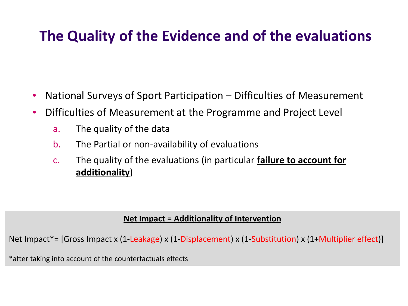### **The Quality of the Evidence and of the evaluations**

- National Surveys of Sport Participation Difficulties of Measurement
- Difficulties of Measurement at the Programme and Project Level
	- a. The quality of the data
	- b. The Partial or non-availability of evaluations
	- c. The quality of the evaluations (in particular **failure to account for additionality**)

#### **Net Impact = Additionality of Intervention**

Net Impact\*= [Gross Impact x (1-Leakage) x (1-Displacement) x (1-Substitution) x (1+Multiplier effect)]

\*after taking into account of the counterfactuals effects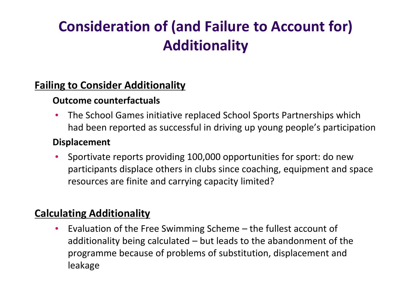## **Consideration of (and Failure to Account for) Additionality**

#### **Failing to Consider Additionality**

#### **Outcome counterfactuals**

• The School Games initiative replaced School Sports Partnerships which had been reported as successful in driving up young people's participation

#### **Displacement**

• Sportivate reports providing 100,000 opportunities for sport: do new participants displace others in clubs since coaching, equipment and space resources are finite and carrying capacity limited?

### **Calculating Additionality**

• Evaluation of the Free Swimming Scheme – the fullest account of additionality being calculated – but leads to the abandonment of the programme because of problems of substitution, displacement and leakage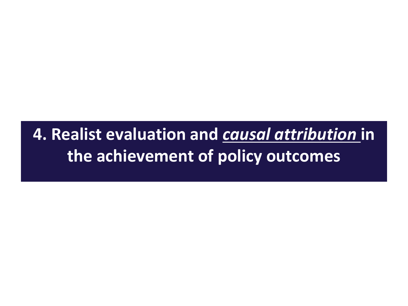## **4. Realist evaluation and** *causal attribution* **in the achievement of policy outcomes**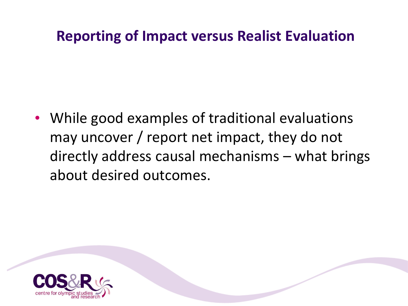### **Reporting of Impact versus Realist Evaluation**

• While good examples of traditional evaluations may uncover / report net impact, they do not directly address causal mechanisms – what brings about desired outcomes.

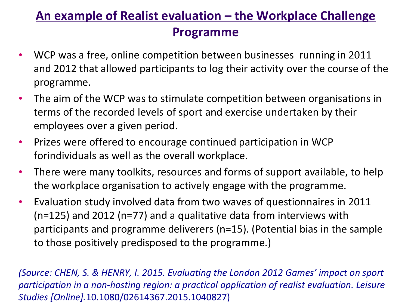### **An example of Realist evaluation – the Workplace Challenge Programme**

- WCP was a free, online competition between businesses running in 2011 and 2012 that allowed participants to log their activity over the course of the programme.
- The aim of the WCP was to stimulate competition between organisations in terms of the recorded levels of sport and exercise undertaken by their employees over a given period.
- Prizes were offered to encourage continued participation in WCP forindividuals as well as the overall workplace.
- There were many toolkits, resources and forms of support available, to help the workplace organisation to actively engage with the programme.
- Evaluation study involved data from two waves of questionnaires in 2011 (n=125) and 2012 (n=77) and a qualitative data from interviews with participants and programme deliverers (n=15). (Potential bias in the sample to those positively predisposed to the programme.)

*(Source: CHEN, S. & HENRY, I. 2015. Evaluating the London 2012 Games' impact on sport participation in a non-hosting region: a practical application of realist evaluation. Leisure Studies [Online].*10.1080/02614367.2015.1040827)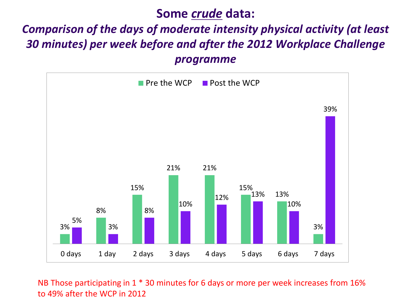#### **Some** *crude* **data:**

### *Comparison of the days of moderate intensity physical activity (at least 30 minutes) per week before and after the 2012 Workplace Challenge programme*



NB Those participating in 1 \* 30 minutes for 6 days or more per week increases from 16% to 49% after the WCP in 2012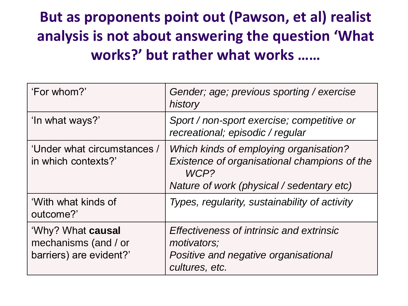## **But as proponents point out (Pawson, et al) realist analysis is not about answering the question 'What works?' but rather what works ……**

| 'For whom?'                                                          | Gender; age; previous sporting / exercise<br>history                                                                                        |
|----------------------------------------------------------------------|---------------------------------------------------------------------------------------------------------------------------------------------|
| 'In what ways?'                                                      | Sport / non-sport exercise; competitive or<br>recreational; episodic / regular                                                              |
| 'Under what circumstances /<br>in which contexts?'                   | Which kinds of employing organisation?<br>Existence of organisational champions of the<br>WCP?<br>Nature of work (physical / sedentary etc) |
| 'With what kinds of<br>outcome?'                                     | Types, regularity, sustainability of activity                                                                                               |
| 'Why? What causal<br>mechanisms (and / or<br>barriers) are evident?' | Effectiveness of intrinsic and extrinsic<br>motivators;<br>Positive and negative organisational<br>cultures, etc.                           |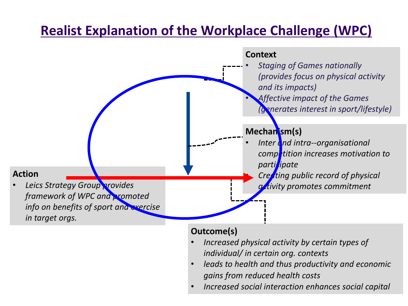### **Realist Explanation of the Workplace Challenge (WPC)**



#### **Outcome(s)**

- *Increased physical activity by certain types of individual/ in certain org. contexts*
- *leads to health and thus productivity and economic gains from reduced health costs*
- *Increased social interaction enhances social capital*